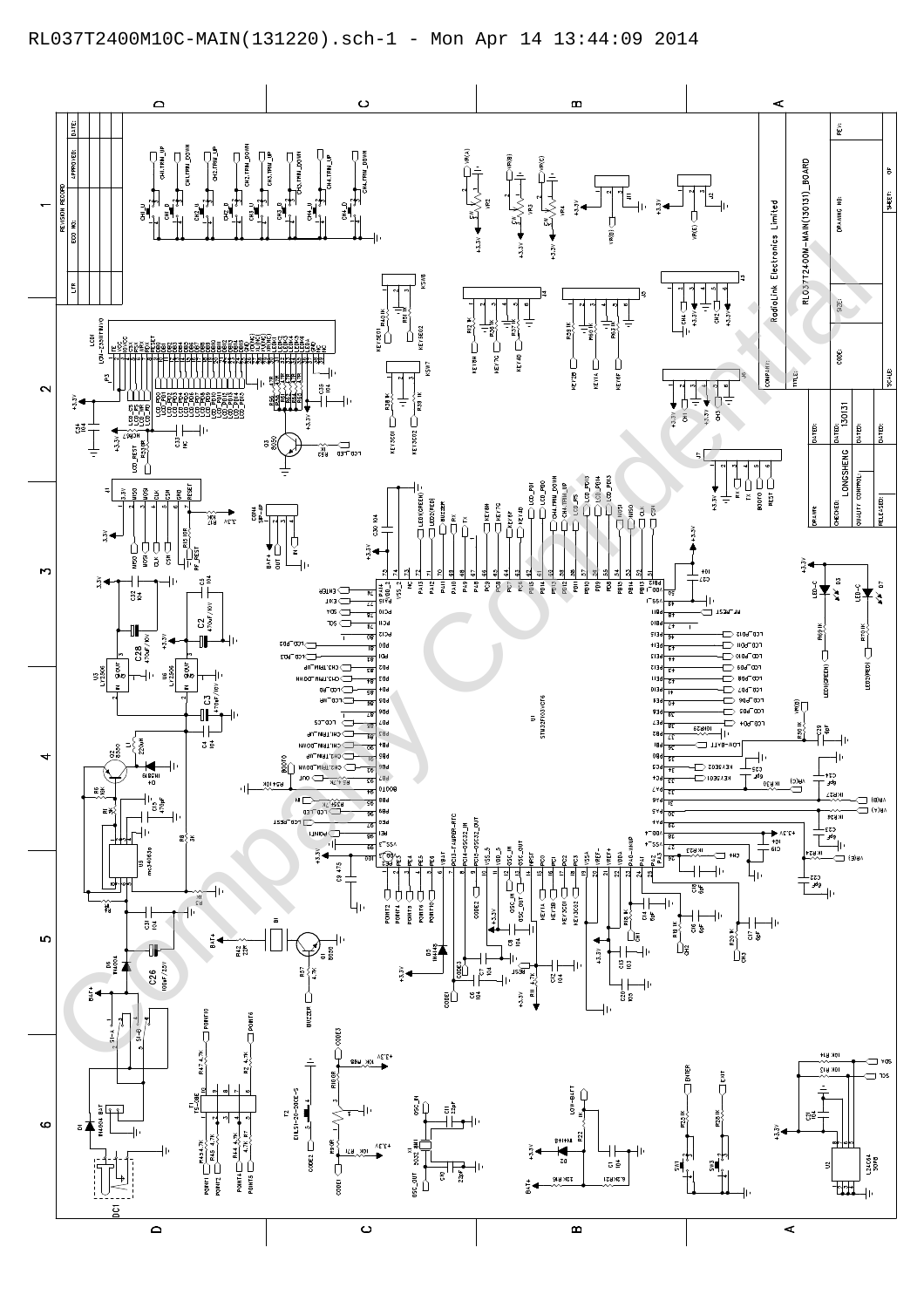